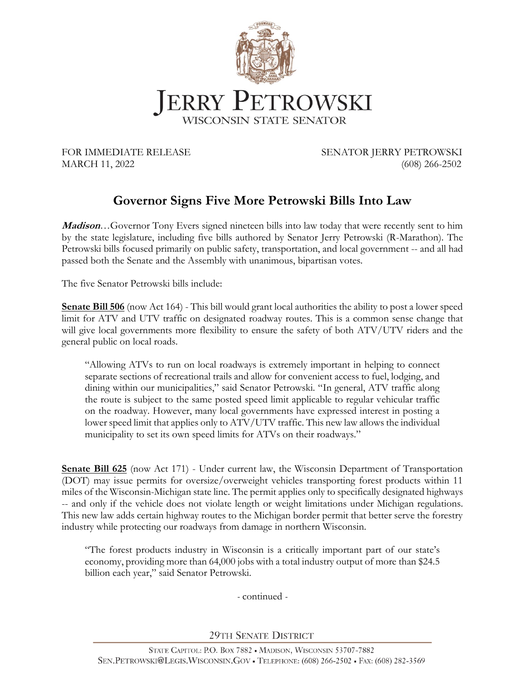

FOR IMMEDIATE RELEASE SENATOR JERRY PETROWSKI MARCH 11, 2022 (608) 266-2502

## **Governor Signs Five More Petrowski Bills Into Law**

**Madison**…Governor Tony Evers signed nineteen bills into law today that were recently sent to him by the state legislature, including five bills authored by Senator Jerry Petrowski (R-Marathon). The Petrowski bills focused primarily on public safety, transportation, and local government -- and all had passed both the Senate and the Assembly with unanimous, bipartisan votes.

The five Senator Petrowski bills include:

**Senate Bill 506** (now Act 164) - This bill would grant local authorities the ability to post a lower speed limit for ATV and UTV traffic on designated roadway routes. This is a common sense change that will give local governments more flexibility to ensure the safety of both ATV/UTV riders and the general public on local roads.

"Allowing ATVs to run on local roadways is extremely important in helping to connect separate sections of recreational trails and allow for convenient access to fuel, lodging, and dining within our municipalities," said Senator Petrowski. "In general, ATV traffic along the route is subject to the same posted speed limit applicable to regular vehicular traffic on the roadway. However, many local governments have expressed interest in posting a lower speed limit that applies only to ATV/UTV traffic. This new law allows the individual municipality to set its own speed limits for ATVs on their roadways."

**Senate Bill 625** (now Act 171) - Under current law, the Wisconsin Department of Transportation (DOT) may issue permits for oversize/overweight vehicles transporting forest products within 11 miles of the Wisconsin-Michigan state line. The permit applies only to specifically designated highways -- and only if the vehicle does not violate length or weight limitations under Michigan regulations. This new law adds certain highway routes to the Michigan border permit that better serve the forestry industry while protecting our roadways from damage in northern Wisconsin.

"The forest products industry in Wisconsin is a critically important part of our state's economy, providing more than 64,000 jobs with a total industry output of more than \$24.5 billion each year," said Senator Petrowski.

*-* continued *-*

**29TH SENATE DISTRICT**